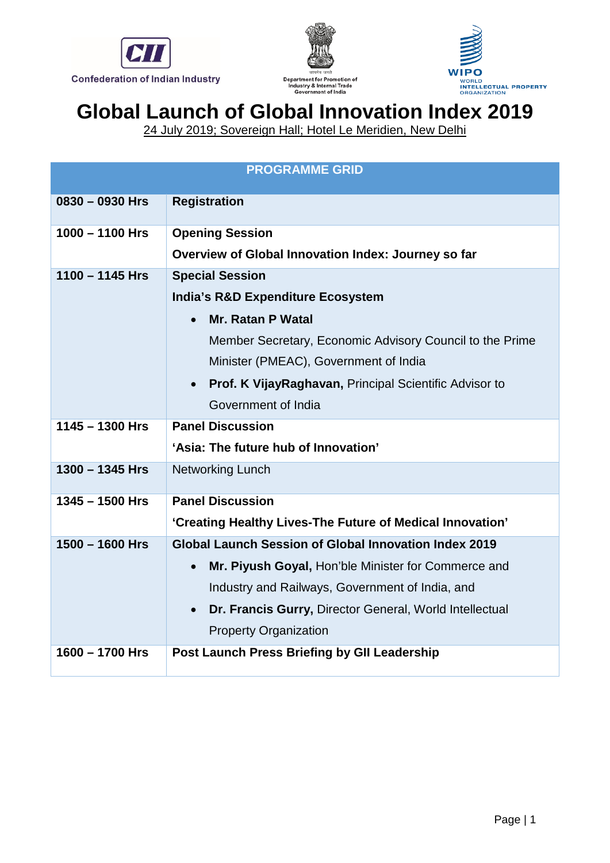





24 July 2019; Sovereign Hall; Hotel Le Meridien, New Delhi

| <b>PROGRAMME GRID</b> |                                                                            |  |  |  |
|-----------------------|----------------------------------------------------------------------------|--|--|--|
| $0830 - 0930$ Hrs     | <b>Registration</b>                                                        |  |  |  |
| $1000 - 1100$ Hrs     | <b>Opening Session</b>                                                     |  |  |  |
|                       | Overview of Global Innovation Index: Journey so far                        |  |  |  |
| $1100 - 1145$ Hrs     | <b>Special Session</b><br><b>India's R&amp;D Expenditure Ecosystem</b>     |  |  |  |
|                       |                                                                            |  |  |  |
|                       | <b>Mr. Ratan P Watal</b>                                                   |  |  |  |
|                       | Member Secretary, Economic Advisory Council to the Prime                   |  |  |  |
|                       | Minister (PMEAC), Government of India                                      |  |  |  |
|                       | <b>Prof. K VijayRaghavan, Principal Scientific Advisor to</b><br>$\bullet$ |  |  |  |
|                       | Government of India                                                        |  |  |  |
| $1145 - 1300$ Hrs     | <b>Panel Discussion</b>                                                    |  |  |  |
|                       | 'Asia: The future hub of Innovation'                                       |  |  |  |
| 1300 - 1345 Hrs       | <b>Networking Lunch</b>                                                    |  |  |  |
| $1345 - 1500$ Hrs     | <b>Panel Discussion</b>                                                    |  |  |  |
|                       | 'Creating Healthy Lives-The Future of Medical Innovation'                  |  |  |  |
| $1500 - 1600$ Hrs     | Global Launch Session of Global Innovation Index 2019                      |  |  |  |
|                       | Mr. Piyush Goyal, Hon'ble Minister for Commerce and                        |  |  |  |
|                       | Industry and Railways, Government of India, and                            |  |  |  |
|                       | Dr. Francis Gurry, Director General, World Intellectual<br>$\bullet$       |  |  |  |
|                       | <b>Property Organization</b>                                               |  |  |  |
| $1600 - 1700$ Hrs     | <b>Post Launch Press Briefing by GII Leadership</b>                        |  |  |  |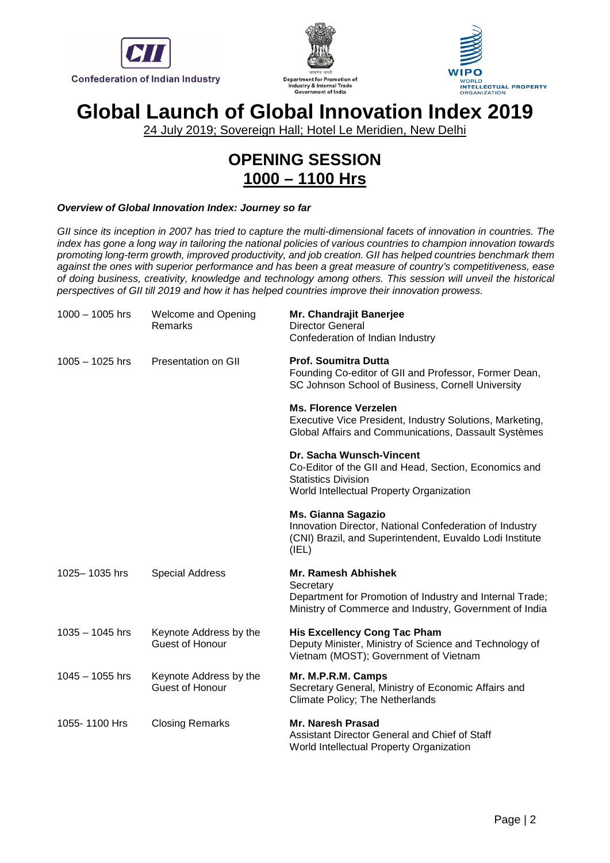





24 July 2019; Sovereign Hall; Hotel Le Meridien, New Delhi

# **OPENING SESSION 1000 – 1100 Hrs**

#### *Overview of Global Innovation Index: Journey so far*

*GII since its inception in 2007 has tried to capture the multi-dimensional facets of innovation in countries. The index has gone a long way in tailoring the national policies of various countries to champion innovation towards promoting long-term growth, improved productivity, and job creation. GII has helped countries benchmark them against the ones with superior performance and has been a great measure of country's competitiveness, ease of doing business, creativity, knowledge and technology among others. This session will unveil the historical perspectives of GII till 2019 and how it has helped countries improve their innovation prowess.*

| $1000 - 1005$ hrs | <b>Welcome and Opening</b><br>Remarks            | Mr. Chandrajit Banerjee<br><b>Director General</b><br>Confederation of Indian Industry                                                                      |
|-------------------|--------------------------------------------------|-------------------------------------------------------------------------------------------------------------------------------------------------------------|
| $1005 - 1025$ hrs | Presentation on GII                              | <b>Prof. Soumitra Dutta</b><br>Founding Co-editor of GII and Professor, Former Dean,<br>SC Johnson School of Business, Cornell University                   |
|                   |                                                  | <b>Ms. Florence Verzelen</b><br>Executive Vice President, Industry Solutions, Marketing,<br>Global Affairs and Communications, Dassault Systèmes            |
|                   |                                                  | Dr. Sacha Wunsch-Vincent<br>Co-Editor of the GII and Head, Section, Economics and<br><b>Statistics Division</b><br>World Intellectual Property Organization |
|                   |                                                  | <b>Ms. Gianna Sagazio</b><br>Innovation Director, National Confederation of Industry<br>(CNI) Brazil, and Superintendent, Euvaldo Lodi Institute<br>(IEL)   |
| 1025-1035 hrs     | <b>Special Address</b>                           | Mr. Ramesh Abhishek<br>Secretary<br>Department for Promotion of Industry and Internal Trade;<br>Ministry of Commerce and Industry, Government of India      |
| $1035 - 1045$ hrs | Keynote Address by the<br><b>Guest of Honour</b> | <b>His Excellency Cong Tac Pham</b><br>Deputy Minister, Ministry of Science and Technology of<br>Vietnam (MOST); Government of Vietnam                      |
| $1045 - 1055$ hrs | Keynote Address by the<br>Guest of Honour        | Mr. M.P.R.M. Camps<br>Secretary General, Ministry of Economic Affairs and<br>Climate Policy; The Netherlands                                                |
| 1055-1100 Hrs     | <b>Closing Remarks</b>                           | <b>Mr. Naresh Prasad</b><br>Assistant Director General and Chief of Staff<br>World Intellectual Property Organization                                       |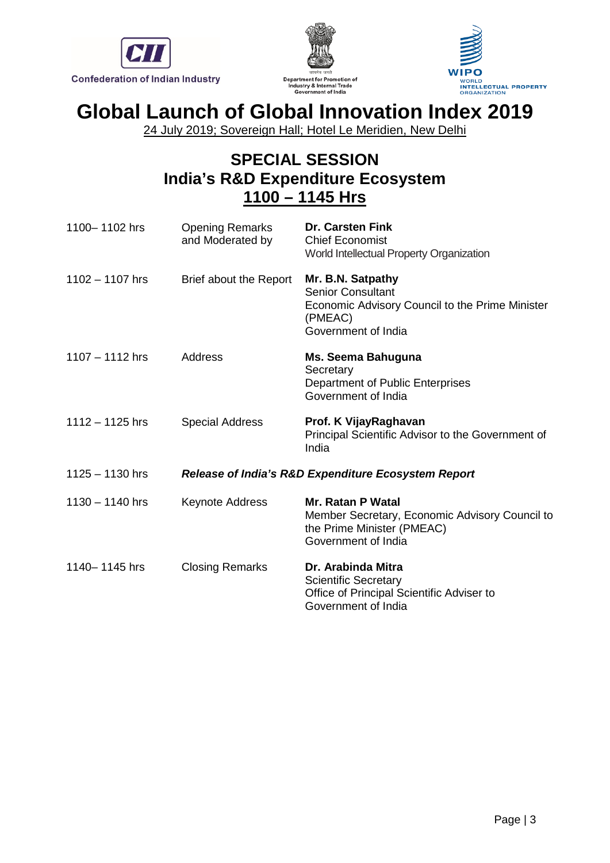





24 July 2019; Sovereign Hall; Hotel Le Meridien, New Delhi

## **SPECIAL SESSION India's R&D Expenditure Ecosystem 1100 – 1145 Hrs**

| 1100-1102 hrs     | <b>Opening Remarks</b><br>and Moderated by | <b>Dr. Carsten Fink</b><br><b>Chief Economist</b><br>World Intellectual Property Organization                                      |  |  |
|-------------------|--------------------------------------------|------------------------------------------------------------------------------------------------------------------------------------|--|--|
| 1102 - 1107 hrs   | Brief about the Report                     | Mr. B.N. Satpathy<br><b>Senior Consultant</b><br>Economic Advisory Council to the Prime Minister<br>(PMEAC)<br>Government of India |  |  |
| $1107 - 1112$ hrs | Address                                    | Ms. Seema Bahuguna<br>Secretary<br>Department of Public Enterprises<br>Government of India                                         |  |  |
| $1112 - 1125$ hrs | <b>Special Address</b>                     | Prof. K VijayRaghavan<br>Principal Scientific Advisor to the Government of<br>India                                                |  |  |
| $1125 - 1130$ hrs |                                            | <b>Release of India's R&amp;D Expenditure Ecosystem Report</b>                                                                     |  |  |
| $1130 - 1140$ hrs | Keynote Address                            | <b>Mr. Ratan P Watal</b><br>Member Secretary, Economic Advisory Council to<br>the Prime Minister (PMEAC)<br>Government of India    |  |  |
| 1140-1145 hrs     | <b>Closing Remarks</b>                     | Dr. Arabinda Mitra<br><b>Scientific Secretary</b><br>Office of Principal Scientific Adviser to<br>Government of India              |  |  |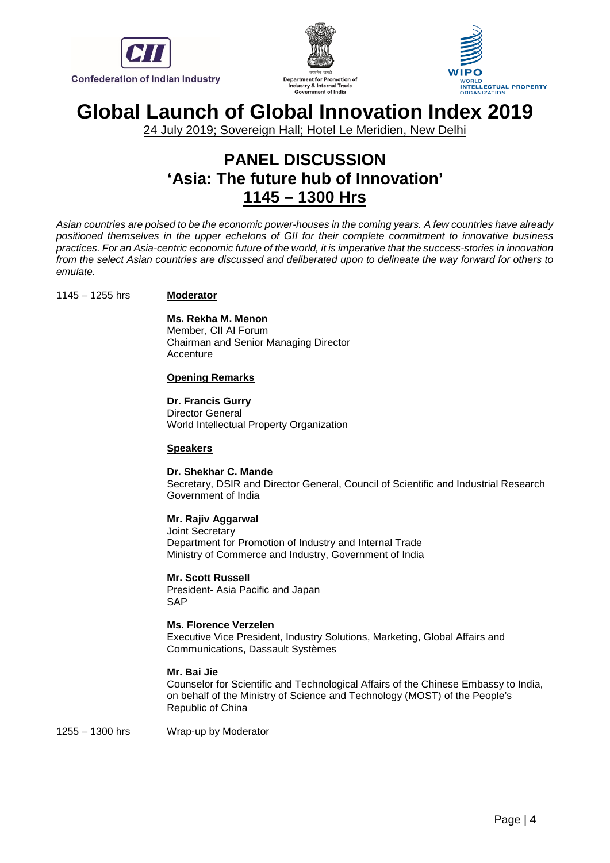





24 July 2019; Sovereign Hall; Hotel Le Meridien, New Delhi

### **PANEL DISCUSSION 'Asia: The future hub of Innovation' 1145 – 1300 Hrs**

*Asian countries are poised to be the economic power-houses in the coming years. A few countries have already positioned themselves in the upper echelons of GII for their complete commitment to innovative business practices. For an Asia-centric economic future of the world, it is imperative that the success-stories in innovation from the select Asian countries are discussed and deliberated upon to delineate the way forward for others to emulate.*

#### 1145 – 1255 hrs **Moderator**

**Ms. Rekha M. Menon** Member, CII AI Forum Chairman and Senior Managing Director **Accenture** 

#### **Opening Remarks**

**Dr. Francis Gurry** Director General World Intellectual Property Organization

#### **Speakers**

**Dr. Shekhar C. Mande** Secretary, DSIR and Director General, Council of Scientific and Industrial Research Government of India

### **Mr. Rajiv Aggarwal**

Joint Secretary Department for Promotion of Industry and Internal Trade Ministry of Commerce and Industry, Government of India

**Mr. Scott Russell** President- Asia Pacific and Japan **SAP** 

#### **Ms. Florence Verzelen**

Executive Vice President, Industry Solutions, Marketing, Global Affairs and Communications, Dassault Systèmes

#### **Mr. Bai Jie**

Counselor for Scientific and Technological Affairs of the Chinese Embassy to India, on behalf of the Ministry of Science and Technology (MOST) of the People's Republic of China

1255 – 1300 hrs Wrap-up by Moderator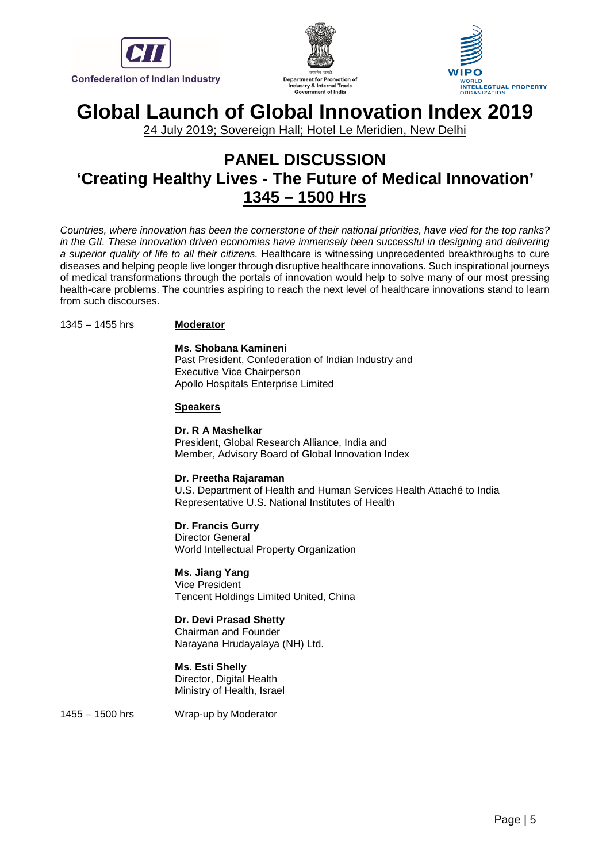





24 July 2019; Sovereign Hall; Hotel Le Meridien, New Delhi

### **PANEL DISCUSSION 'Creating Healthy Lives - The Future of Medical Innovation' 1345 – 1500 Hrs**

*Countries, where innovation has been the cornerstone of their national priorities, have vied for the top ranks? in the GII. These innovation driven economies have immensely been successful in designing and delivering a superior quality of life to all their citizens.* Healthcare is witnessing unprecedented breakthroughs to cure diseases and helping people live longer through disruptive healthcare innovations. Such inspirational journeys of medical transformations through the portals of innovation would help to solve many of our most pressing health-care problems. The countries aspiring to reach the next level of healthcare innovations stand to learn from such discourses.

#### 1345 – 1455 hrs **Moderator**

**Ms. Shobana Kamineni** Past President, Confederation of Indian Industry and Executive Vice Chairperson Apollo Hospitals Enterprise Limited

#### **Speakers**

**Dr. R A Mashelkar** President, Global Research Alliance, India and Member, Advisory Board of Global Innovation Index

#### **Dr. Preetha Rajaraman**

U.S. Department of Health and Human Services Health Attaché to India Representative U.S. National Institutes of Health

#### **Dr. Francis Gurry** Director General World Intellectual Property Organization

**Ms. Jiang Yang** Vice President Tencent Holdings Limited United, China

### **Dr. Devi Prasad Shetty**

Chairman and Founder Narayana Hrudayalaya (NH) Ltd.

### **Ms. Esti Shelly**

Director, Digital Health Ministry of Health, Israel

1455 – 1500 hrs Wrap-up by Moderator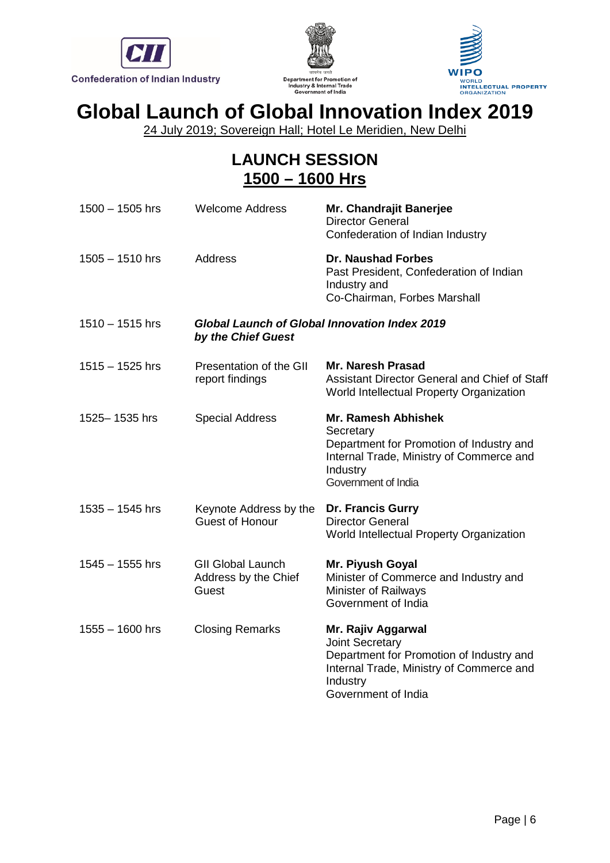





24 July 2019; Sovereign Hall; Hotel Le Meridien, New Delhi

## **LAUNCH SESSION 1500 – 1600 Hrs**

| $1500 - 1505$ hrs | <b>Welcome Address</b>                                              | Mr. Chandrajit Banerjee<br><b>Director General</b><br>Confederation of Indian Industry                                                                             |
|-------------------|---------------------------------------------------------------------|--------------------------------------------------------------------------------------------------------------------------------------------------------------------|
| $1505 - 1510$ hrs | <b>Address</b>                                                      | <b>Dr. Naushad Forbes</b><br>Past President, Confederation of Indian<br>Industry and<br>Co-Chairman, Forbes Marshall                                               |
| $1510 - 1515$ hrs | Global Launch of Global Innovation Index 2019<br>by the Chief Guest |                                                                                                                                                                    |
| $1515 - 1525$ hrs | Presentation of the GII<br>report findings                          | Mr. Naresh Prasad<br>Assistant Director General and Chief of Staff<br>World Intellectual Property Organization                                                     |
| 1525-1535 hrs     | <b>Special Address</b>                                              | <b>Mr. Ramesh Abhishek</b><br>Secretary<br>Department for Promotion of Industry and<br>Internal Trade, Ministry of Commerce and<br>Industry<br>Government of India |
| 1535 - 1545 hrs   | Keynote Address by the<br><b>Guest of Honour</b>                    | <b>Dr. Francis Gurry</b><br><b>Director General</b><br>World Intellectual Property Organization                                                                    |
| $1545 - 1555$ hrs | <b>GII Global Launch</b><br>Address by the Chief<br>Guest           | Mr. Piyush Goyal<br>Minister of Commerce and Industry and<br><b>Minister of Railways</b><br>Government of India                                                    |
| 1555 - 1600 hrs   | <b>Closing Remarks</b>                                              | Mr. Rajiv Aggarwal<br>Joint Secretary<br>Department for Promotion of Industry and<br>Internal Trade, Ministry of Commerce and<br>Industry<br>Government of India   |